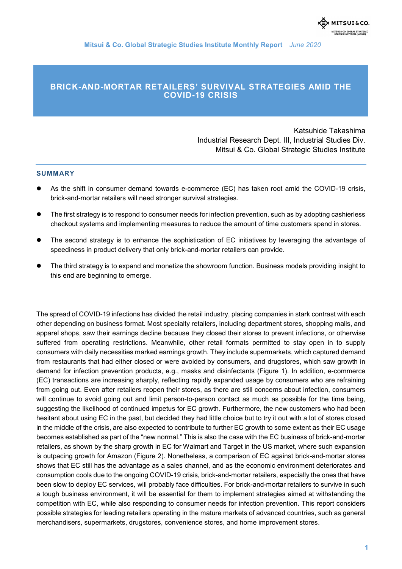**Mitsui & Co. Global Strategic Studies Institute Monthly Report** *June 2020*

### **BRICK-AND-MORTAR RETAILERS' SURVIVAL STRATEGIES AMID THE COVID-19 CRISIS**

Katsuhide Takashima Industrial Research Dept. III, Industrial Studies Div. Mitsui & Co. Global Strategic Studies Institute

#### **SUMMARY**

- As the shift in consumer demand towards e-commerce (EC) has taken root amid the COVID-19 crisis, brick-and-mortar retailers will need stronger survival strategies.
- The first strategy is to respond to consumer needs for infection prevention, such as by adopting cashierless checkout systems and implementing measures to reduce the amount of time customers spend in stores.
- The second strategy is to enhance the sophistication of EC initiatives by leveraging the advantage of speediness in product delivery that only brick-and-mortar retailers can provide.
- The third strategy is to expand and monetize the showroom function. Business models providing insight to this end are beginning to emerge.

The spread of COVID-19 infections has divided the retail industry, placing companies in stark contrast with each other depending on business format. Most specialty retailers, including department stores, shopping malls, and apparel shops, saw their earnings decline because they closed their stores to prevent infections, or otherwise suffered from operating restrictions. Meanwhile, other retail formats permitted to stay open in to supply consumers with daily necessities marked earnings growth. They include supermarkets, which captured demand from restaurants that had either closed or were avoided by consumers, and drugstores, which saw growth in demand for infection prevention products, e.g., masks and disinfectants (Figure 1). In addition, e-commerce (EC) transactions are increasing sharply, reflecting rapidly expanded usage by consumers who are refraining from going out. Even after retailers reopen their stores, as there are still concerns about infection, consumers will continue to avoid going out and limit person-to-person contact as much as possible for the time being, suggesting the likelihood of continued impetus for EC growth. Furthermore, the new customers who had been hesitant about using EC in the past, but decided they had little choice but to try it out with a lot of stores closed in the middle of the crisis, are also expected to contribute to further EC growth to some extent as their EC usage becomes established as part of the "new normal." This is also the case with the EC business of brick-and-mortar retailers, as shown by the sharp growth in EC for Walmart and Target in the US market, where such expansion is outpacing growth for Amazon (Figure 2). Nonetheless, a comparison of EC against brick-and-mortar stores shows that EC still has the advantage as a sales channel, and as the economic environment deteriorates and consumption cools due to the ongoing COVID-19 crisis, brick-and-mortar retailers, especially the ones that have been slow to deploy EC services, will probably face difficulties. For brick-and-mortar retailers to survive in such a tough business environment, it will be essential for them to implement strategies aimed at withstanding the competition with EC, while also responding to consumer needs for infection prevention. This report considers possible strategies for leading retailers operating in the mature markets of advanced countries, such as general merchandisers, supermarkets, drugstores, convenience stores, and home improvement stores.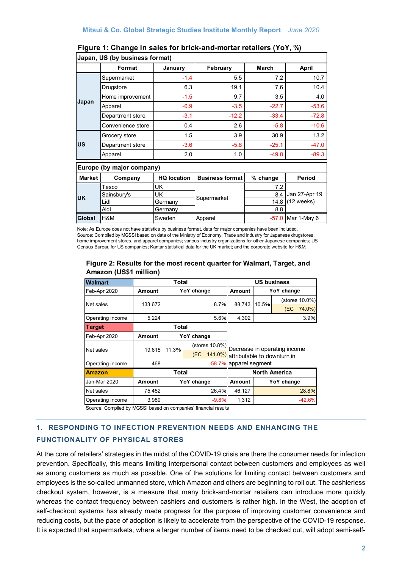| Japan, US (by business format) |                   |                    |                        |              |               |  |  |  |  |
|--------------------------------|-------------------|--------------------|------------------------|--------------|---------------|--|--|--|--|
|                                | Format            | January            | February               | <b>March</b> | <b>April</b>  |  |  |  |  |
| Japan                          | Supermarket       | $-1.4$             | 5.5                    | 7.2          | 10.7          |  |  |  |  |
|                                | Drugstore         | 6.3                | 19.1                   | 7.6          | 10.4          |  |  |  |  |
|                                | Home improvement  | $-1.5$             | 9.7                    | 3.5          | 4.0           |  |  |  |  |
|                                | Apparel           | $-0.9$             | $-3.5$                 | $-22.7$      | $-53.6$       |  |  |  |  |
|                                | Department store  | $-3.1$             | $-12.2$                | $-33.4$      | $-72.8$       |  |  |  |  |
|                                | Convenience store | 0.4                | 2.6                    | $-5.8$       | $-10.6$       |  |  |  |  |
| <b>US</b>                      | Grocery store     | 1.5                | 3.9                    | 30.9         | 13.2          |  |  |  |  |
|                                | Department store  | $-3.6$             | $-5.8$                 | $-25.1$      | $-47.0$       |  |  |  |  |
|                                | Apparel           | 2.0                | 1.0                    | $-49.8$      | $-89.3$       |  |  |  |  |
| Europe (by major company)      |                   |                    |                        |              |               |  |  |  |  |
| <b>Market</b>                  | Company           | <b>HQ location</b> | <b>Business format</b> | % change     | Period        |  |  |  |  |
| <b>UK</b>                      | Tesco             | UK                 |                        | 7.2          |               |  |  |  |  |
|                                | Sainsbury's       | UK                 | Supermarket            | 8.4          | Jan 27-Apr 19 |  |  |  |  |
|                                | Lidl              | Germany            |                        | 14.8         | $(12$ weeks)  |  |  |  |  |
|                                | Aldi              | Germany            |                        | 8.8          |               |  |  |  |  |

## **Figure 1: Change in sales for brick-and-mortar retailers (YoY, %)**

Note: As Europe does not have statistics by business format, data for major companies have been included. Source: Compiled by MGSSI based on data of the Ministry of Economy, Trade and Industry for Japanese drugstores, home improvement stores, and apparel companies; various industry organizations for other Japanese companies; US Census Bureau for US companies; Kantar statistical data for the UK market; and the corporate website for H&M.

**Global** H&M Sweden Apparel -57.0 Mar 1-May 6

#### **Figure 2: Results for the most recent quarter for Walmart, Target, and Amazon (US\$1 million)**

| <b>Walmart</b>            | <b>Total</b>  |            |     |                      | <b>US business</b>                          |                 |       |  |
|---------------------------|---------------|------------|-----|----------------------|---------------------------------------------|-----------------|-------|--|
| Feb-Apr 2020              | <b>Amount</b> | YoY change |     |                      | Amount                                      | YoY change      |       |  |
| Net sales                 | 133,672       | 8.7%       |     | 88.743               | 10.5%                                       | (stores 10.0%)  |       |  |
|                           |               |            |     |                      |                                             | (EC<br>$74.0\%$ |       |  |
| Operating income          | 5,224         |            |     | 5.6%                 | 4,302                                       |                 | 3.9%  |  |
| <b>Target</b>             | Total         |            |     |                      |                                             |                 |       |  |
| Feb-Apr 2020              | <b>Amount</b> | YoY change |     |                      |                                             |                 |       |  |
| Net sales                 | 19.615        | 11.3%      |     |                      | (stores 10.8%) Decrease in operating income |                 |       |  |
|                           |               |            | (EC |                      | 141.0%) attributable to downturn in         |                 |       |  |
| Operating income          | 468           |            |     |                      | -58.7% apparel segment                      |                 |       |  |
| <b>Amazon</b>             | <b>Total</b>  |            |     | <b>North America</b> |                                             |                 |       |  |
| Jan-Mar 2020              | Amount        | YoY change |     | Amount               | YoY change                                  |                 |       |  |
| Net sales                 | 75,452        |            |     | 26.4%                | 46,127                                      |                 | 28.8% |  |
| Operating income<br>3,989 |               | $-9.8%$    |     | 1,312                |                                             | $-42.6%$        |       |  |

Source: Compiled by MGSSI based on companies' financial results

# **1**. **RESPONDING TO INFECTION PREVENTION NEEDS AND ENHANCING THE FUNCTIONALITY OF PHYSICAL STORES**

At the core of retailers' strategies in the midst of the COVID-19 crisis are there the consumer needs for infection prevention. Specifically, this means limiting interpersonal contact between customers and employees as well as among customers as much as possible. One of the solutions for limiting contact between customers and employees is the so-called unmanned store, which Amazon and others are beginning to roll out. The cashierless checkout system, however, is a measure that many brick-and-mortar retailers can introduce more quickly whereas the contact frequency between cashiers and customers is rather high. In the West, the adoption of self-checkout systems has already made progress for the purpose of improving customer convenience and reducing costs, but the pace of adoption is likely to accelerate from the perspective of the COVID-19 response. It is expected that supermarkets, where a larger number of items need to be checked out, will adopt semi-self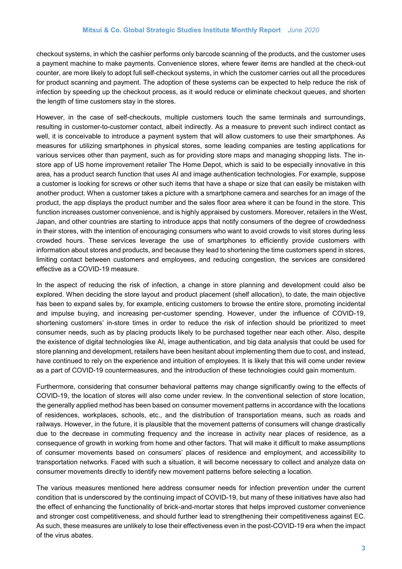checkout systems, in which the cashier performs only barcode scanning of the products, and the customer uses a payment machine to make payments. Convenience stores, where fewer items are handled at the check-out counter, are more likely to adopt full self-checkout systems, in which the customer carries out all the procedures for product scanning and payment. The adoption of these systems can be expected to help reduce the risk of infection by speeding up the checkout process, as it would reduce or eliminate checkout queues, and shorten the length of time customers stay in the stores.

However, in the case of self-checkouts, multiple customers touch the same terminals and surroundings, resulting in customer-to-customer contact, albeit indirectly. As a measure to prevent such indirect contact as well, it is conceivable to introduce a payment system that will allow customers to use their smartphones. As measures for utilizing smartphones in physical stores, some leading companies are testing applications for various services other than payment, such as for providing store maps and managing shopping lists. The instore app of US home improvement retailer The Home Depot, which is said to be especially innovative in this area, has a product search function that uses AI and image authentication technologies. For example, suppose a customer is looking for screws or other such items that have a shape or size that can easily be mistaken with another product. When a customer takes a picture with a smartphone camera and searches for an image of the product, the app displays the product number and the sales floor area where it can be found in the store. This function increases customer convenience, and is highly appraised by customers. Moreover, retailers in the West, Japan, and other countries are starting to introduce apps that notify consumers of the degree of crowdedness in their stores, with the intention of encouraging consumers who want to avoid crowds to visit stores during less crowded hours. These services leverage the use of smartphones to efficiently provide customers with information about stores and products, and because they lead to shortening the time customers spend in stores, limiting contact between customers and employees, and reducing congestion, the services are considered effective as a COVID-19 measure.

In the aspect of reducing the risk of infection, a change in store planning and development could also be explored. When deciding the store layout and product placement (shelf allocation), to date, the main objective has been to expand sales by, for example, enticing customers to browse the entire store, promoting incidental and impulse buying, and increasing per-customer spending. However, under the influence of COVID-19, shortening customers' in-store times in order to reduce the risk of infection should be prioritized to meet consumer needs, such as by placing products likely to be purchased together near each other. Also, despite the existence of digital technologies like AI, image authentication, and big data analysis that could be used for store planning and development, retailers have been hesitant about implementing them due to cost, and instead, have continued to rely on the experience and intuition of employees. It is likely that this will come under review as a part of COVID-19 countermeasures, and the introduction of these technologies could gain momentum.

Furthermore, considering that consumer behavioral patterns may change significantly owing to the effects of COVID-19, the location of stores will also come under review. In the conventional selection of store location, the generally applied method has been based on consumer movement patterns in accordance with the locations of residences, workplaces, schools, etc., and the distribution of transportation means, such as roads and railways. However, in the future, it is plausible that the movement patterns of consumers will change drastically due to the decrease in commuting frequency and the increase in activity near places of residence, as a consequence of growth in working from home and other factors. That will make it difficult to make assumptions of consumer movements based on consumers' places of residence and employment, and accessibility to transportation networks. Faced with such a situation, it will become necessary to collect and analyze data on consumer movements directly to identify new movement patterns before selecting a location.

The various measures mentioned here address consumer needs for infection prevention under the current condition that is underscored by the continuing impact of COVID-19, but many of these initiatives have also had the effect of enhancing the functionality of brick-and-mortar stores that helps improved customer convenience and stronger cost competitiveness, and should further lead to strengthening their competitiveness against EC. As such, these measures are unlikely to lose their effectiveness even in the post-COVID-19 era when the impact of the virus abates.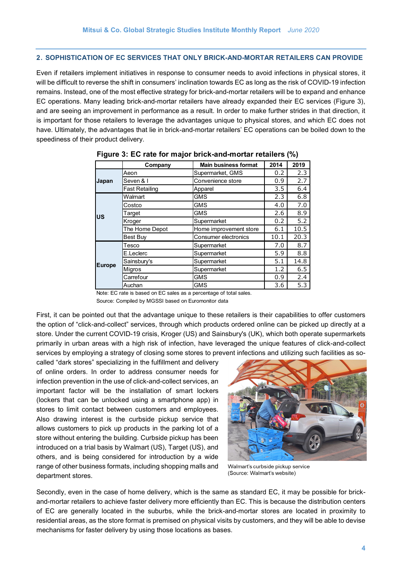#### **2. SOPHISTICATION OF EC SERVICES THAT ONLY BRICK-AND-MORTAR RETAILERS CAN PROVIDE**

Even if retailers implement initiatives in response to consumer needs to avoid infections in physical stores, it will be difficult to reverse the shift in consumers' inclination towards EC as long as the risk of COVID-19 infection remains. Instead, one of the most effective strategy for brick-and-mortar retailers will be to expand and enhance EC operations. Many leading brick-and-mortar retailers have already expanded their EC services (Figure 3), and are seeing an improvement in performance as a result. In order to make further strides in that direction, it is important for those retailers to leverage the advantages unique to physical stores, and which EC does not have. Ultimately, the advantages that lie in brick-and-mortar retailers' EC operations can be boiled down to the speediness of their product delivery.

|               | Company               | <b>Main business format</b> | 2014 | 2019 |
|---------------|-----------------------|-----------------------------|------|------|
| Japan         | Aeon                  | Supermarket, GMS            | 0.2  | 2.3  |
|               | Seven & I             | Convenience store           | 0.9  | 2.7  |
|               | <b>Fast Retailing</b> | Apparel                     |      | 6.4  |
| <b>US</b>     | Walmart               | <b>GMS</b>                  | 2.3  | 6.8  |
|               | Costco                | <b>GMS</b>                  |      | 7.0  |
|               | Target                | <b>GMS</b>                  | 2.6  | 8.9  |
|               | Kroger                | Supermarket                 | 0.2  | 5.2  |
|               | The Home Depot        | Home improvement store      | 6.1  | 10.5 |
|               | <b>Best Buy</b>       | Consumer electronics        | 10.1 | 20.3 |
|               | Tesco                 | Supermarket                 | 7.0  | 8.7  |
|               | E.Leclerc             | Supermarket                 | 5.9  | 8.8  |
| <b>Europe</b> | Sainsbury's           | Supermarket                 | 5.1  | 14.8 |
|               | Migros                | Supermarket                 | 1.2  | 6.5  |
|               | Carrefour             | <b>GMS</b>                  | 0.9  | 2.4  |
|               | Auchan                | <b>GMS</b>                  | 3.6  | 5.3  |

**Figure 3: EC rate for major brick-and-mortar retailers (%)**

Note: EC rate is based on EC sales as a percentage of total sales.

Source: Compiled by MGSSI based on Euromonitor data

First, it can be pointed out that the advantage unique to these retailers is their capabilities to offer customers the option of "click-and-collect" services, through which products ordered online can be picked up directly at a store. Under the current COVID-19 crisis, Kroger (US) and Sainsbury's (UK), which both operate supermarkets primarily in urban areas with a high risk of infection, have leveraged the unique features of click-and-collect services by employing a strategy of closing some stores to prevent infections and utilizing such facilities as so-

called "dark stores" specializing in the fulfillment and delivery of online orders. In order to address consumer needs for infection prevention in the use of click-and-collect services, an important factor will be the installation of smart lockers (lockers that can be unlocked using a smartphone app) in stores to limit contact between customers and employees. Also drawing interest is the curbside pickup service that allows customers to pick up products in the parking lot of a store without entering the building. Curbside pickup has been introduced on a trial basis by Walmart (US), Target (US), and others, and is being considered for introduction by a wide range of other business formats, including shopping malls and department stores.



Walmart's curbside pickup service (Source: Walmart's website)

Secondly, even in the case of home delivery, which is the same as standard EC, it may be possible for brickand-mortar retailers to achieve faster delivery more efficiently than EC. This is because the distribution centers of EC are generally located in the suburbs, while the brick-and-mortar stores are located in proximity to residential areas, as the store format is premised on physical visits by customers, and they will be able to devise mechanisms for faster delivery by using those locations as bases.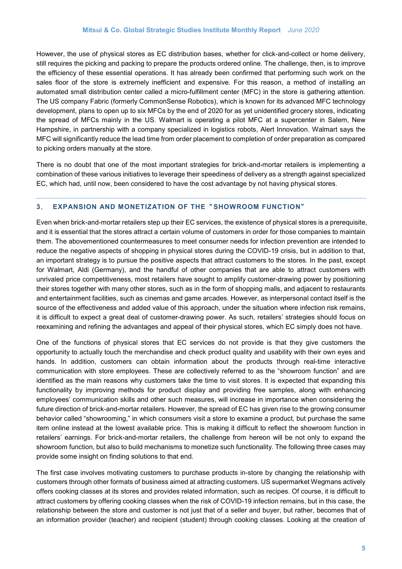However, the use of physical stores as EC distribution bases, whether for click-and-collect or home delivery, still requires the picking and packing to prepare the products ordered online. The challenge, then, is to improve the efficiency of these essential operations. It has already been confirmed that performing such work on the sales floor of the store is extremely inefficient and expensive. For this reason, a method of installing an automated small distribution center called a micro-fulfillment center (MFC) in the store is gathering attention. The US company Fabric (formerly CommonSense Robotics), which is known for its advanced MFC technology development, plans to open up to six MFCs by the end of 2020 for as yet unidentified grocery stores, indicating the spread of MFCs mainly in the US. Walmart is operating a pilot MFC at a supercenter in Salem, New Hampshire, in partnership with a company specialized in logistics robots, Alert Innovation. Walmart says the MFC will significantly reduce the lead time from order placement to completion of order preparation as compared to picking orders manually at the store.

There is no doubt that one of the most important strategies for brick-and-mortar retailers is implementing a combination of these various initiatives to leverage their speediness of delivery as a strength against specialized EC, which had, until now, been considered to have the cost advantage by not having physical stores.

#### **3**. **EXPANSION AND MONETIZATION OF THE**" **SHOWROOM FUNCTION**"

Even when brick-and-mortar retailers step up their EC services, the existence of physical stores is a prerequisite, and it is essential that the stores attract a certain volume of customers in order for those companies to maintain them. The abovementioned countermeasures to meet consumer needs for infection prevention are intended to reduce the negative aspects of shopping in physical stores during the COVID-19 crisis, but in addition to that, an important strategy is to pursue the positive aspects that attract customers to the stores. In the past, except for Walmart, Aldi (Germany), and the handful of other companies that are able to attract customers with unrivaled price competitiveness, most retailers have sought to amplify customer-drawing power by positioning their stores together with many other stores, such as in the form of shopping malls, and adjacent to restaurants and entertainment facilities, such as cinemas and game arcades. However, as interpersonal contact itself is the source of the effectiveness and added value of this approach, under the situation where infection risk remains, it is difficult to expect a great deal of customer-drawing power. As such, retailers' strategies should focus on reexamining and refining the advantages and appeal of their physical stores, which EC simply does not have.

One of the functions of physical stores that EC services do not provide is that they give customers the opportunity to actually touch the merchandise and check product quality and usability with their own eyes and hands. In addition, customers can obtain information about the products through real-time interactive communication with store employees. These are collectively referred to as the "showroom function" and are identified as the main reasons why customers take the time to visit stores. It is expected that expanding this functionality by improving methods for product display and providing free samples, along with enhancing employees' communication skills and other such measures, will increase in importance when considering the future direction of brick-and-mortar retailers. However, the spread of EC has given rise to the growing consumer behavior called "showrooming," in which consumers visit a store to examine a product, but purchase the same item online instead at the lowest available price. This is making it difficult to reflect the showroom function in retailers' earnings. For brick-and-mortar retailers, the challenge from hereon will be not only to expand the showroom function, but also to build mechanisms to monetize such functionality. The following three cases may provide some insight on finding solutions to that end.

The first case involves motivating customers to purchase products in-store by changing the relationship with customers through other formats of business aimed at attracting customers. US supermarket Wegmans actively offers cooking classes at its stores and provides related information, such as recipes. Of course, it is difficult to attract customers by offering cooking classes when the risk of COVID-19 infection remains, but in this case, the relationship between the store and customer is not just that of a seller and buyer, but rather, becomes that of an information provider (teacher) and recipient (student) through cooking classes. Looking at the creation of